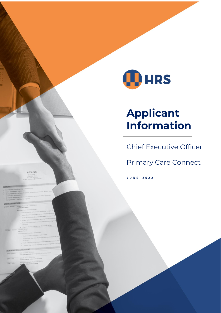

# **Applicant** Information

**Chief Executive Officer** 

**Primary Care Connect** 

JUNE 2022

RESUME

- 
- 
- 
- 
- 

- 
- 
- 
-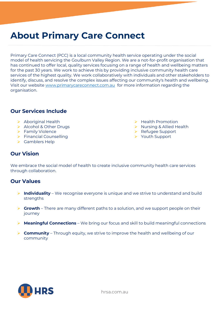## **About Primary Care Connect**

Primary Care Connect (PCC) is a local community health service operating under the social model of health servicing the Goulburn Valley Region. We are a not-for-profit organisation that has continued to offer local, quality services focusing on a range of health and wellbeing matters for the past 30 years. We work to achieve this by providing inclusive community health care services of the highest quality. We work collaboratively with individuals and other stakeholders to identify, discuss, and resolve the complex issues affecting our community's health and wellbeing. Visit our website [www.primarycareconnect.com.au](http://www.primarycareconnect.com.au/) for more information regarding the organisation.

### **Our Services Include**

- ➢ Aboriginal Health
- ➢ Alcohol & Other Drugs
- ➢ Family Violence
- ➢ Financial Counselling
- ➢ Gamblers Help
- ➢ Health Promotion
- ➢ Nursing & Allied Health
- ➢ Refugee Support
- ➢ Youth Support

### **Our Vision**

We embrace the social model of health to create inclusive community health care services through collaboration.

### **Our Values**

- ➢ **Individuality** We recognise everyone is unique and we strive to understand and build strengths
- ➢ **Growth** There are many different paths to a solution, and we support people on their iourney
- ➢ **Meaningful Connections** We bring our focus and skill to build meaningful connections
- ➢ **Community** Through equity, we strive to improve the health and wellbeing of our community

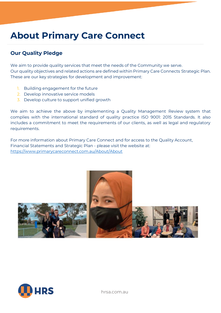## **About Primary Care Connect**

### **Our Quality Pledge**

We aim to provide quality services that meet the needs of the Community we serve. Our quality objectives and related actions are defined within Primary Care Connects Strategic Plan. These are our key strategies for development and improvement:

- 1. Building engagement for the future
- 2. Develop innovative service models
- 3. Develop culture to support unified growth

We aim to achieve the above by implementing a Quality Management Review system that complies with the international standard of quality practice ISO 9001: 2015 Standards. It also includes a commitment to meet the requirements of our clients, as well as legal and regulatory requirements.

For more information about Primary Care Connect and for access to the Quality Account, Financial Statements and Strategic Plan - please visit the website at: <https://www.primarycareconnect.com.au/About/About>



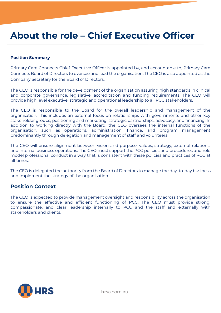## **About the role – Chief Executive Officer**

#### **Position Summary**

Primary Care Connects Chief Executive Officer is appointed by, and accountable to, Primary Care Connects Board of Directors to oversee and lead the organisation. The CEO is also appointed as the Company Secretary for the Board of Directors.

The CEO is responsible for the development of the organisation assuring high standards in clinical and corporate governance, legislative, accreditation and funding requirements. The CEO will provide high level executive, strategic and operational leadership to all PCC stakeholders.

The CEO is responsible to the Board for the overall leadership and management of the organisation. This includes an external focus on relationships with governments and other key stakeholder groups, positioning and marketing, strategic partnerships, advocacy, and financing. In addition to working directly with the Board, the CEO oversees the internal functions of the organisation, such as operations, administration, finance, and program management predominantly through delegation and management of staff and volunteers.

The CEO will ensure alignment between vision and purpose, values, strategy, external relations, and internal business operations. The CEO must support the PCC policies and procedures and role model professional conduct in a way that is consistent with these policies and practices of PCC at all times.

The CEO is delegated the authority from the Board of Directors to manage the day-to-day business and implement the strategy of the organisation.

### **Position Context**

The CEO is expected to provide management oversight and responsibility across the organisation to ensure the effective and efficient functioning of PCC. The CEO must provide strong, compassionate, and clear leadership internally to PCC and the staff and externally with stakeholders and clients.

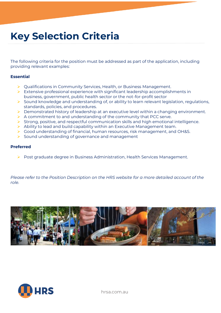# **Key Selection Criteria**

The following criteria for the position must be addressed as part of the application, including providing relevant examples:

#### **Essential**

- ➢ Qualifications in Community Services, Health, or Business Management.
- ➢ Extensive professional experience with significant leadership accomplishments in business, government, public health sector or the not-for-profit sector
- ➢ Sound knowledge and understanding of, or ability to learn relevant legislation, regulations, standards, policies, and procedures.
- ➢ Demonstrated history of leadership at an executive level within a changing environment.
- $\triangleright$  A commitment to and understanding of the community that PCC serve.
- ➢ Strong, positive, and respectful communication skills and high emotional intelligence.
- ➢ Ability to lead and build capability within an Executive Management team.
- ➢ Good understanding of financial, human resources, risk management, and OH&S.
- ➢ Sound understanding of governance and management

#### **Preferred**

➢ Post graduate degree in Business Administration, Health Services Management.

*Please refer to the Position Description on the HRS website for a more detailed account of the role.*





hrsa.com.au